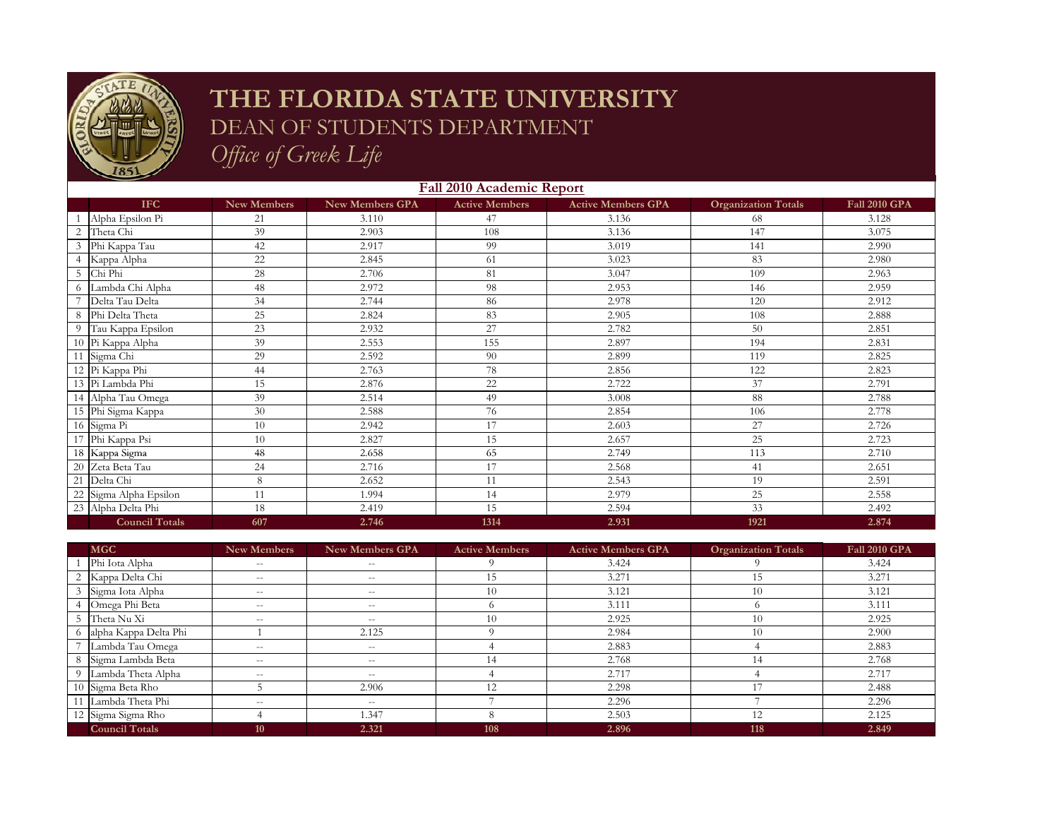

## **THE FLORIDA STATE UNIVERSITY** DEAN OF STUDENTS DEPARTMENT

*Office of Greek Life*

|    | <b>Fall 2010 Academic Report</b> |                    |                        |                       |                           |                            |                      |  |
|----|----------------------------------|--------------------|------------------------|-----------------------|---------------------------|----------------------------|----------------------|--|
|    | <b>IFC</b>                       | <b>New Members</b> | <b>New Members GPA</b> | <b>Active Members</b> | <b>Active Members GPA</b> | <b>Organization Totals</b> | <b>Fall 2010 GPA</b> |  |
|    | Alpha Epsilon Pi                 | 21                 | 3.110                  | 47                    | 3.136                     | 68                         | 3.128                |  |
| 2  | Theta Chi                        | 39                 | 2.903                  | 108                   | 3.136                     | 147                        | 3.075                |  |
|    | Phi Kappa Tau                    | 42                 | 2.917                  | 99                    | 3.019                     | 141                        | 2.990                |  |
|    | Kappa Alpha                      | 22                 | 2.845                  | 61                    | 3.023                     | 83                         | 2.980                |  |
| 5  | Chi Phi                          | 28                 | 2.706                  | 81                    | 3.047                     | 109                        | 2.963                |  |
|    | Lambda Chi Alpha                 | 48                 | 2.972                  | 98                    | 2.953                     | 146                        | 2.959                |  |
|    | Delta Tau Delta                  | 34                 | 2.744                  | 86                    | 2.978                     | 120                        | 2.912                |  |
| 8  | Phi Delta Theta                  | 25                 | 2.824                  | 83                    | 2.905                     | 108                        | 2.888                |  |
| 9  | Tau Kappa Epsilon                | 23                 | 2.932                  | 27                    | 2.782                     | 50                         | 2.851                |  |
|    | 10 Pi Kappa Alpha                | 39                 | 2.553                  | 155                   | 2.897                     | 194                        | 2.831                |  |
| 11 | Sigma Chi                        | 29                 | 2.592                  | 90                    | 2.899                     | 119                        | 2.825                |  |
|    | 12 Pi Kappa Phi                  | 44                 | 2.763                  | 78                    | 2.856                     | 122                        | 2.823                |  |
|    | 13 Pi Lambda Phi                 | 15                 | 2.876                  | 22                    | 2.722                     | 37                         | 2.791                |  |
|    | 14 Alpha Tau Omega               | 39                 | 2.514                  | 49                    | 3.008                     | 88                         | 2.788                |  |
|    | 15 Phi Sigma Kappa               | 30                 | 2.588                  | 76                    | 2.854                     | 106                        | 2.778                |  |
|    | 16 Sigma Pi                      | 10                 | 2.942                  | 17                    | 2.603                     | 27                         | 2.726                |  |
| 17 | Phi Kappa Psi                    | 10                 | 2.827                  | 15                    | 2.657                     | 25                         | 2.723                |  |
|    | 18 Kappa Sigma                   | 48                 | 2.658                  | 65                    | 2.749                     | 113                        | 2.710                |  |
|    | 20 Zeta Beta Tau                 | 24                 | 2.716                  | 17                    | 2.568                     | 41                         | 2.651                |  |
| 21 | Delta Chi                        | 8                  | 2.652                  | 11                    | 2.543                     | 19                         | 2.591                |  |
| 22 | Sigma Alpha Epsilon              | 11                 | 1.994                  | 14                    | 2.979                     | 25                         | 2.558                |  |
|    | 23 Alpha Delta Phi               | 18                 | 2.419                  | 15                    | 2.594                     | 33                         | 2.492                |  |
|    | <b>Council Totals</b>            | 607                | 2.746                  | 1314                  | 2.931                     | 1921                       | 2.874                |  |

| <b>MGC</b>              | New Members              | <b>New Members GPA</b> | <b>Active Members</b> | <b>Active Members GPA</b> | <b>Organization Totals</b> | <b>Fall 2010 GPA</b> |
|-------------------------|--------------------------|------------------------|-----------------------|---------------------------|----------------------------|----------------------|
| Phi Iota Alpha          | $- -$                    | $- -$                  |                       | 3.424                     |                            | 3.424                |
| 2 Kappa Delta Chi       | $\overline{\phantom{m}}$ | $- -$                  | 15                    | 3.271                     | 15                         | 3.271                |
| 3 Sigma Iota Alpha      | $- -$                    | $- -$                  | 10                    | 3.121                     | 10                         | 3.121                |
| 4 Omega Phi Beta        | $\qquad \qquad -$        | $- -$                  |                       | 3.111                     |                            | 3.111                |
| 5 Theta Nu Xi           | $\qquad \qquad -$        | $- -$                  | 10                    | 2.925                     | 10                         | 2.925                |
| 6 alpha Kappa Delta Phi |                          | 2.125                  |                       | 2.984                     | 10                         | 2.900                |
| Lambda Tau Omega        | $- -$                    | $- -$                  |                       | 2.883                     |                            | 2.883                |
| 8 Sigma Lambda Beta     | $\qquad \qquad -$        | $- -$                  | 14                    | 2.768                     | 14                         | 2.768                |
| 9 Lambda Theta Alpha    | $\qquad \qquad -$        | $ -$                   |                       | 2.717                     |                            | 2.717                |
| 10 Sigma Beta Rho       |                          | 2.906                  | 12                    | 2.298                     |                            | 2.488                |
| 11 Lambda Theta Phi     | $-$                      | $\hspace{0.05cm}$      |                       | 2.296                     |                            | 2.296                |
| 12 Sigma Sigma Rho      |                          | 1.347                  | 8                     | 2.503                     | 12                         | 2.125                |
| <b>Council Totals</b>   | 10                       | 2.321                  | 108                   | 2.896                     | 118                        | 2.849                |